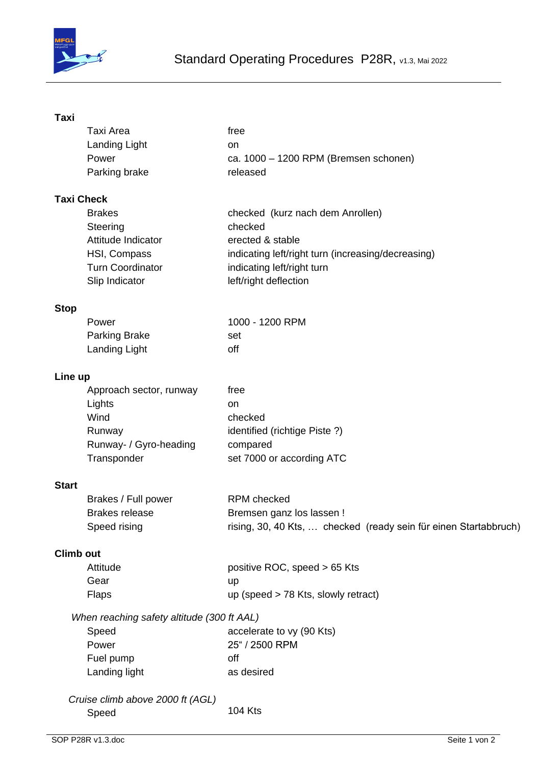

## **Taxi**

|              | Taxi Area                                  | free                                                             |
|--------------|--------------------------------------------|------------------------------------------------------------------|
|              | Landing Light                              | on                                                               |
|              | Power                                      | ca. 1000 - 1200 RPM (Bremsen schonen)                            |
|              | Parking brake                              | released                                                         |
|              | Taxi Check                                 |                                                                  |
|              | <b>Brakes</b>                              | checked (kurz nach dem Anrollen)                                 |
|              | Steering                                   | checked                                                          |
|              | Attitude Indicator                         | erected & stable                                                 |
|              | HSI, Compass                               | indicating left/right turn (increasing/decreasing)               |
|              | <b>Turn Coordinator</b>                    | indicating left/right turn                                       |
|              | Slip Indicator                             | left/right deflection                                            |
| <b>Stop</b>  |                                            |                                                                  |
|              | Power                                      | 1000 - 1200 RPM                                                  |
|              | <b>Parking Brake</b>                       | set                                                              |
|              | <b>Landing Light</b>                       | off                                                              |
| Line up      |                                            |                                                                  |
|              | Approach sector, runway                    | free                                                             |
|              | Lights                                     | on                                                               |
|              | Wind                                       | checked                                                          |
|              | Runway                                     | identified (richtige Piste?)                                     |
|              | Runway- / Gyro-heading                     | compared                                                         |
|              | Transponder                                | set 7000 or according ATC                                        |
| <b>Start</b> |                                            |                                                                  |
|              | Brakes / Full power                        | <b>RPM</b> checked                                               |
|              | <b>Brakes release</b>                      | Bremsen ganz los lassen !                                        |
|              | Speed rising                               | rising, 30, 40 Kts,  checked (ready sein für einen Startabbruch) |
| Climb out    |                                            |                                                                  |
|              | Attitude                                   | positive ROC, speed > 65 Kts                                     |
|              | Gear                                       | up                                                               |
|              | <b>Flaps</b>                               | up (speed $>$ 78 Kts, slowly retract)                            |
|              | When reaching safety altitude (300 ft AAL) |                                                                  |
|              | Speed                                      | accelerate to vy (90 Kts)                                        |
|              | Power                                      | 25" / 2500 RPM                                                   |
|              | Fuel pump                                  | off                                                              |
|              | Landing light                              | as desired                                                       |
|              | Cruise climb above 2000 ft (AGL)           |                                                                  |
|              | Speed                                      | <b>104 Kts</b>                                                   |